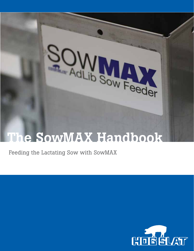

# The SowMAX Handbook

Feeding the Lactating Sow with SowMAX

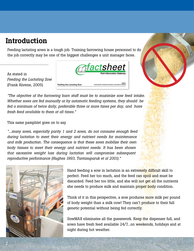### Introduction

Feeding lactating sows is a tough job. Training farrowing house personnel to do the job correctly may be one of the biggest challenges a unit manager faces.







*"The objective of the farrowing barn staff must be to maximize sow feed intake. Whether sows are fed manually or by automatic feeding systems, they should be fed a minimum of twice daily, preferable three or more times per day, and have fresh feed available to them at all times."*

#### This same pamphlet goes on to say

*"...many sows, especially parity 1 and 2 sows, do not consume enough feed during lactation to meet their energy and nutrient needs for maintenance and milk production. The consequence is that these sows mobilize their own body tissues to meet their energy and nutrient needs. It has been shown that excessive weight loss during lactation will compromise subsequent reproductive performance (Hughes 1993, Tantasuparuk et al 2001)."*



Hand feeding a sow in lactation is an extremely difficult skill to perfect. Feed her too much, and the feed can spoil and must be discarded. Feed her too little, and she will not get all the nutrients she needs to produce milk and maintain proper body condition.

Think of it in this perspective, a sow produces more milk per pound of body weight than a milk cow! They can't produce to their full genetic potential without being fed correctly.

SowMAX eliminates all the guesswork. Keep the dispenser full, and sows have fresh feed available 24/7...on weekends, holidays and at night during hot weather.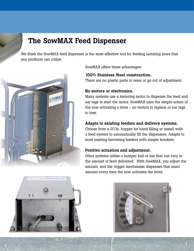## The SowMAX Feed Dispenser

We think the SowMAX feed dispenser is the most effective tool for feeding lactating sows that any producer can utilize.



SowMAX offers these advantages:

#### 100% Stainless Steel construction.

There are no plastic parts to wear or go out of adjustment.

#### No motors or electronics.

Many systems use a metering motor to dispense the feed and ear tags to start the motor. SowMAX uses the simple action of the sow activating a lever - no motors to replace or ear tags to lose.

#### Adapts to existing feeders and delivery systems.

Choose from a 20 lb. hopper for hand filling or install with a feed system to automatically fill the dispensers. Adapts to most existing farrowing feeders with simple brackets.

#### Positive actuation and adjustment.

Other systems utilize a bumper ball or bar that can vary in the amount of feed delivered. With SowMAX, you adjust the amount, and the trigger mechanism dispenses that exact amount every time the sow activates the lever.





**3**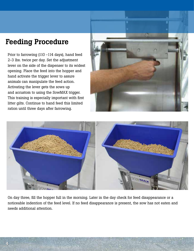## Feeding Procedure

Prior to farrowing (110 -114 days), hand feed 2-3 lbs. twice per day. Set the adjustment lever on the side of the dispenser to its widest opening. Place the feed into the hopper and hand activate the trigger lever to assure animals can manipulate the feed action. Activating the lever gets the sows up and accustom to using the SowMAX trigger. This training is especially important with first litter gilts. Continue to hand feed this limited ration until three days after farrowing.





On day three, fill the hopper full in the morning. Later in the day check for feed disappearance or a noticeable indention of the feed level. If no feed disappearance is present, the sow has not eaten and needs additional attention.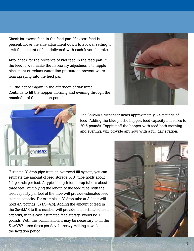Check for excess feed in the feed pan. If excess feed is present, move the side adjustment down to a lower setting to limit the amount of feed delivered with each levered stroke.

Also, check for the presence of wet feed in the feed pan. If the feed is wet, make the necessary adjustments to nipple placement or reduce water line pressure to prevent water from spraying into the feed pan.

Fill the hopper again in the afternoon of day three. Continue to fill the hopper morning and evening through the remainder of the lactation period.





The SowMAX dispenser holds approximately 6.5 pounds of feed. Adding the blue plastic hopper, feed capacity increases to 20.5 pounds. Topping off the hopper with feed both morning and evening, will provide any sow with a full day's ration.

If using a 3" drop pipe from an overhead fill system, you can estimate the amount of feed storage. A 3" tube holds about 1.5 pounds per foot. A typical length for a drop tube is about three feet. Multiplying the length of the feed tube with the feed capacity per foot of the tube will provide estimated feed storage capacity. For example, a 3" drop tube at 3' long will hold 4.5 pounds (3x1.5=4.5). Adding the amount of feed in the SowMAX to this number will provide total estimated feed capacity, in this case estimated feed storage would be 11 pounds. With this combination, it may be necessary to fill the SowMAX three times per day for heavy milking sows late in the lactation period.

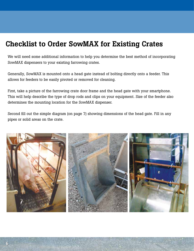### Checklist to Order SowMAX for Existing Crates

We will need some additional information to help you determine the best method of incorporating SowMAX dispensers to your existing farrowing crates.

Generally, SowMAX is mounted onto a head gate instead of bolting directly onto a feeder. This allows for feeders to be easily pivoted or removed for cleaning.

First, take a picture of the farrowing crate door frame and the head gate with your smartphone. This will help describe the type of drop rods and clips on your equipment. Size of the feeder also determines the mounting location for the SowMAX dispenser.

Second fill out the simple diagram (on page 7) showing dimensions of the head gate. Fill in any pipes or solid areas on the crate.

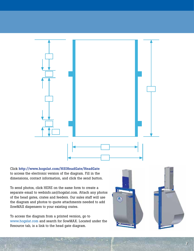

Click http://www.hogslat.com/HSIHeadGate/HeadGate to access the electronic version of the diagram. Fill in the dimensions, contact information, and click the send button.

To send photos, click HERE on the same form to create a separate email to webinfo.us@hogslat.com. Attach any photos of the head gates, crates and feeders. Our sales staff will use the diagram and photos to quote attachments needed to add SowMAX dispensers to your existing crates.

To access the diagram from a printed version, go to www.hogslat.com and search for SowMAX. Located under the Resource tab, is a link to the head gate diagram.



**7**